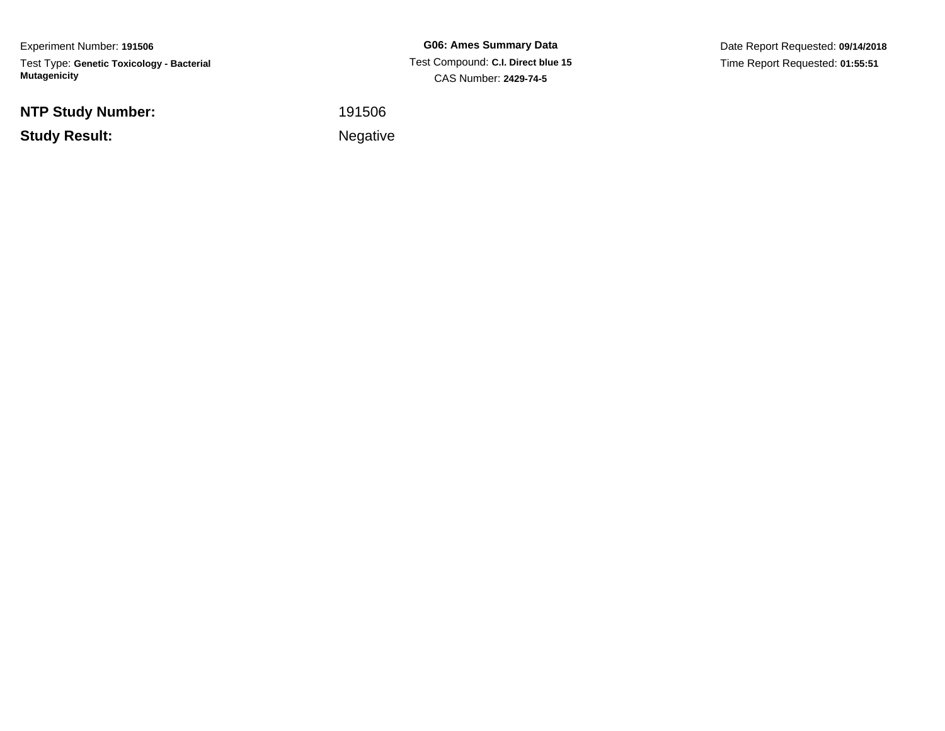Experiment Number: **191506**Test Type: **Genetic Toxicology - Bacterial Mutagenicity**

**NTP Study Number:**

**Study Result:**

**G06: Ames Summary Data** Test Compound: **C.I. Direct blue 15**CAS Number: **2429-74-5**

Date Report Requested: **09/14/2018**Time Report Requested: **01:55:51**

<sup>191506</sup>

Negative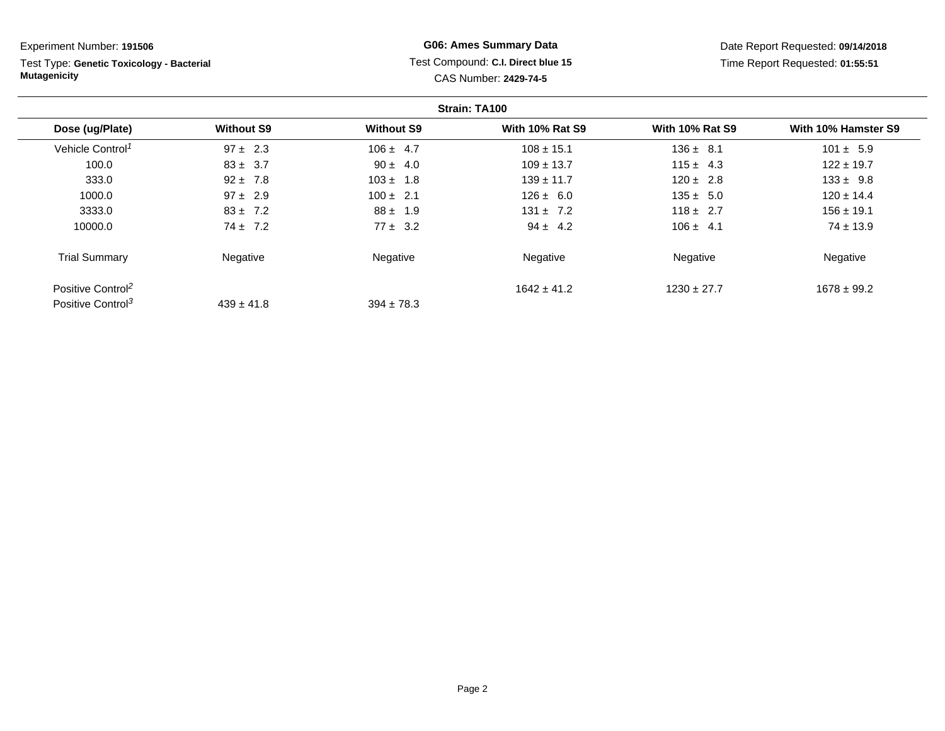Test Type: **Genetic Toxicology - Bacterial Mutagenicity**

## **G06: Ames Summary Data** Test Compound: **C.I. Direct blue 15**CAS Number: **2429-74-5**

|                               |                   |                   | Strain: TA100          |                        |                     |
|-------------------------------|-------------------|-------------------|------------------------|------------------------|---------------------|
| Dose (ug/Plate)               | <b>Without S9</b> | <b>Without S9</b> | <b>With 10% Rat S9</b> | <b>With 10% Rat S9</b> | With 10% Hamster S9 |
| Vehicle Control <sup>1</sup>  | $97 \pm 2.3$      | $106 \pm 4.7$     | $108 \pm 15.1$         | $136 \pm 8.1$          | $101 \pm 5.9$       |
| 100.0                         | $83 \pm 3.7$      | $90 \pm 4.0$      | $109 \pm 13.7$         | $115 \pm 4.3$          | $122 \pm 19.7$      |
| 333.0                         | $92 \pm 7.8$      | $103 \pm 1.8$     | $139 \pm 11.7$         | $120 \pm 2.8$          | $133 \pm 9.8$       |
| 1000.0                        | $97 \pm 2.9$      | $100 \pm 2.1$     | $126 \pm 6.0$          | $135 \pm 5.0$          | $120 \pm 14.4$      |
| 3333.0                        | $83 \pm 7.2$      | $88 \pm 1.9$      | $131 \pm 7.2$          | $118 \pm 2.7$          | $156 \pm 19.1$      |
| 10000.0                       | $74 \pm 7.2$      | $77 \pm 3.2$      | $94 \pm 4.2$           | $106 \pm 4.1$          | $74 \pm 13.9$       |
| <b>Trial Summary</b>          | Negative          | Negative          | Negative               | Negative               | Negative            |
| Positive Control <sup>2</sup> |                   |                   | $1642 \pm 41.2$        | $1230 \pm 27.7$        | $1678 \pm 99.2$     |
| Positive Control <sup>3</sup> | $439 \pm 41.8$    | $394 \pm 78.3$    |                        |                        |                     |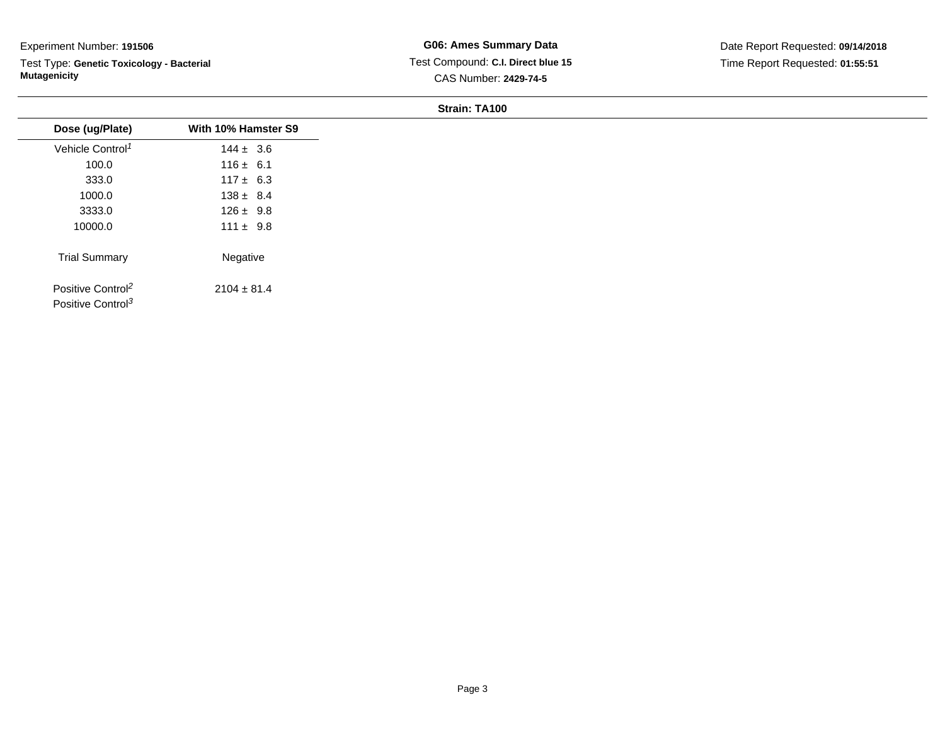Test Type: **Genetic Toxicology - Bacterial Mutagenicity**

**G06: Ames Summary Data** Test Compound: **C.I. Direct blue 15**CAS Number: **2429-74-5**

Date Report Requested: **09/14/2018**Time Report Requested: **01:55:51**

| Dose (ug/Plate)               | With 10% Hamster S9 |
|-------------------------------|---------------------|
| Vehicle Control <sup>1</sup>  | $144 \pm 3.6$       |
| 100.0                         | $116 \pm 6.1$       |
| 333.0                         | $117 \pm 6.3$       |
| 1000.0                        | $138 \pm 8.4$       |
| 3333.0                        | $126 \pm 9.8$       |
| 10000.0                       | $111 \pm 9.8$       |
| <b>Trial Summary</b>          | Negative            |
| Positive Control <sup>2</sup> | $2104 \pm 81.4$     |
| Positive Control <sup>3</sup> |                     |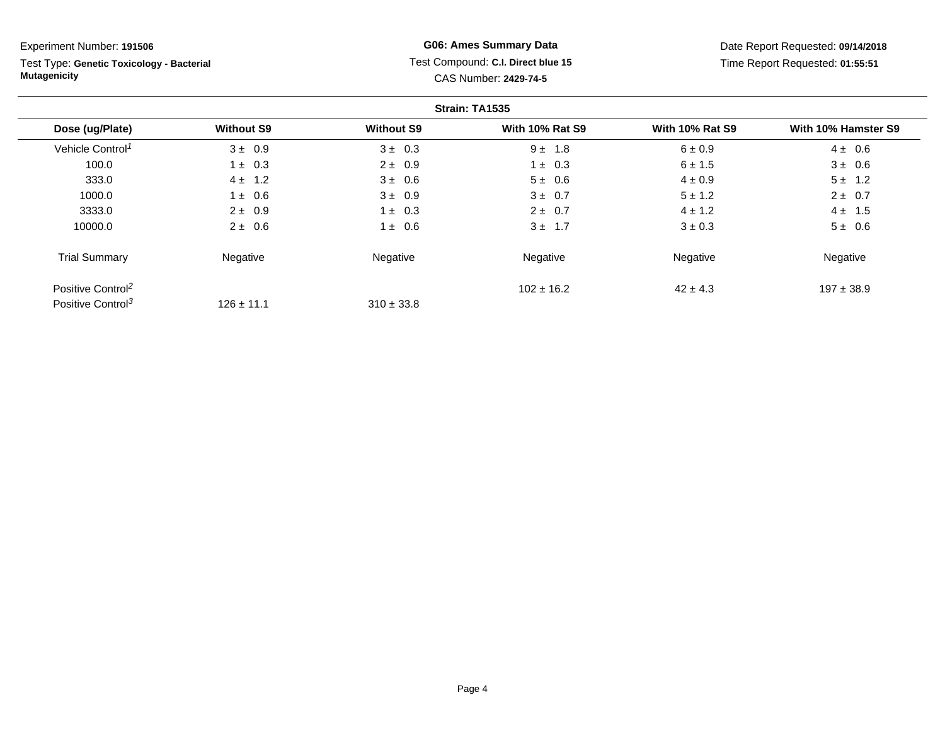Test Type: **Genetic Toxicology - Bacterial Mutagenicity**

## **G06: Ames Summary Data** Test Compound: **C.I. Direct blue 15**CAS Number: **2429-74-5**

|                               |                   |                   | Strain: TA1535         |                        |                     |
|-------------------------------|-------------------|-------------------|------------------------|------------------------|---------------------|
| Dose (ug/Plate)               | <b>Without S9</b> | <b>Without S9</b> | <b>With 10% Rat S9</b> | <b>With 10% Rat S9</b> | With 10% Hamster S9 |
| Vehicle Control <sup>1</sup>  | $3 \pm 0.9$       | $3 \pm 0.3$       | $9 \pm 1.8$            | $6 \pm 0.9$            | $4 \pm 0.6$         |
| 100.0                         | $1 \pm 0.3$       | $2 \pm 0.9$       | $1 \pm 0.3$            | $6 \pm 1.5$            | $3 \pm 0.6$         |
| 333.0                         | $4 \pm 1.2$       | $3 \pm 0.6$       | $5 \pm 0.6$            | $4 \pm 0.9$            | $5 \pm 1.2$         |
| 1000.0                        | $\pm$ 0.6         | $3 \pm 0.9$       | $3 \pm 0.7$            | $5 \pm 1.2$            | $2 \pm 0.7$         |
| 3333.0                        | $2 \pm 0.9$       | $1 \pm 0.3$       | $2 \pm 0.7$            | $4 \pm 1.2$            | $4 \pm 1.5$         |
| 10000.0                       | $2 \pm 0.6$       | $1 \pm 0.6$       | $3 \pm 1.7$            | $3 \pm 0.3$            | $5 \pm 0.6$         |
| <b>Trial Summary</b>          | Negative          | Negative          | Negative               | Negative               | Negative            |
| Positive Control <sup>2</sup> |                   |                   | $102 \pm 16.2$         | $42 \pm 4.3$           | $197 \pm 38.9$      |
| Positive Control <sup>3</sup> | $126 \pm 11.1$    | $310 \pm 33.8$    |                        |                        |                     |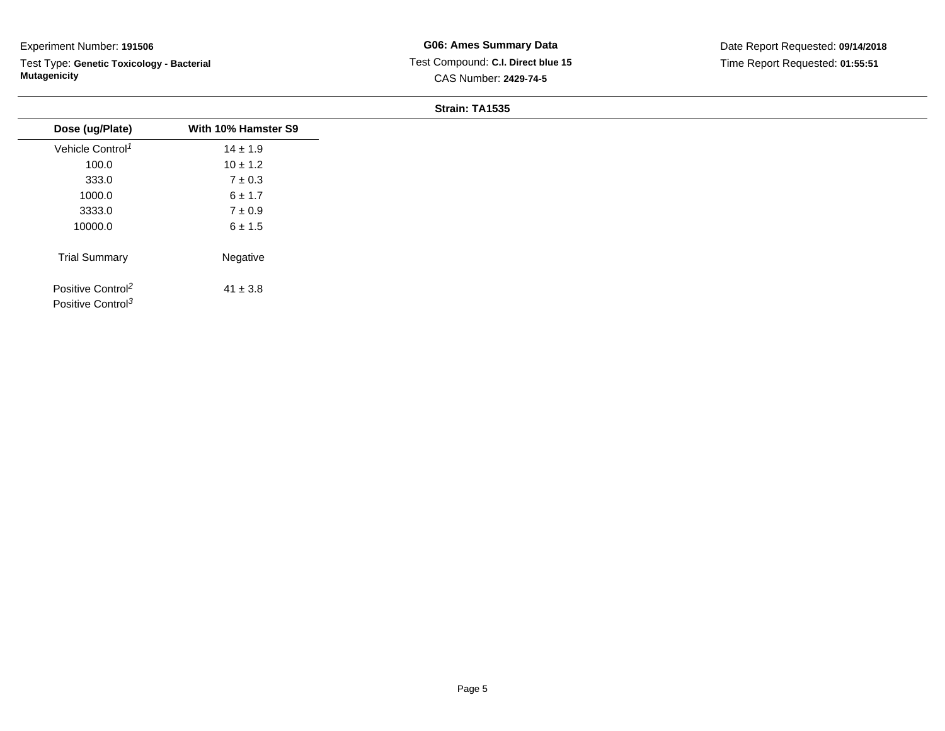Test Type: **Genetic Toxicology - Bacterial Mutagenicity**

**G06: Ames Summary Data** Test Compound: **C.I. Direct blue 15**CAS Number: **2429-74-5**

| Dose (ug/Plate)                                                | With 10% Hamster S9 |
|----------------------------------------------------------------|---------------------|
| Vehicle Control <sup>1</sup>                                   | $14 \pm 1.9$        |
| 100.0                                                          | $10 \pm 1.2$        |
| 333.0                                                          | $7 \pm 0.3$         |
| 1000.0                                                         | 6 ± 1.7             |
| 3333.0                                                         | $7 \pm 0.9$         |
| 10000.0                                                        | $6 \pm 1.5$         |
| <b>Trial Summary</b>                                           | Negative            |
| Positive Control <sup>2</sup><br>Positive Control <sup>3</sup> | $41 \pm 3.8$        |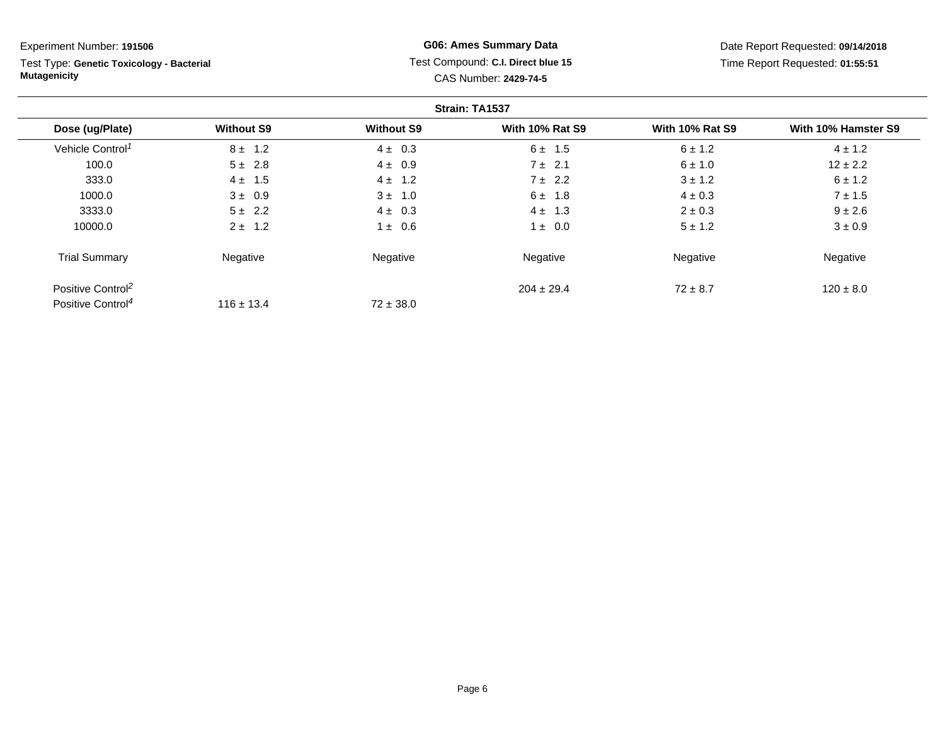Test Type: **Genetic Toxicology - Bacterial Mutagenicity**

## **G06: Ames Summary Data** Test Compound: **C.I. Direct blue 15**CAS Number: **2429-74-5**

|                               |                   |                   | Strain: TA1537         |                        |                     |
|-------------------------------|-------------------|-------------------|------------------------|------------------------|---------------------|
| Dose (ug/Plate)               | <b>Without S9</b> | <b>Without S9</b> | <b>With 10% Rat S9</b> | <b>With 10% Rat S9</b> | With 10% Hamster S9 |
| Vehicle Control <sup>1</sup>  | $8 \pm 1.2$       | $4 \pm 0.3$       | $6 \pm 1.5$            | $6 \pm 1.2$            | $4 \pm 1.2$         |
| 100.0                         | $5 \pm 2.8$       | $4 \pm 0.9$       | $7 \pm 2.1$            | $6 \pm 1.0$            | $12 \pm 2.2$        |
| 333.0                         | $4 \pm 1.5$       | $4 \pm 1.2$       | $7 \pm 2.2$            | $3 \pm 1.2$            | $6 \pm 1.2$         |
| 1000.0                        | $3 \pm 0.9$       | $3 \pm 1.0$       | $6 \pm 1.8$            | $4 \pm 0.3$            | $7 \pm 1.5$         |
| 3333.0                        | $5 \pm 2.2$       | $4 \pm 0.3$       | $4 \pm 1.3$            | $2 \pm 0.3$            | $9 \pm 2.6$         |
| 10000.0                       | $2 \pm 1.2$       | $\pm$ 0.6         | $1 \pm 0.0$            | $5 \pm 1.2$            | $3 \pm 0.9$         |
| <b>Trial Summary</b>          | Negative          | Negative          | Negative               | Negative               | Negative            |
| Positive Control <sup>2</sup> |                   |                   | $204 \pm 29.4$         | $72 \pm 8.7$           | $120 \pm 8.0$       |
| Positive Control <sup>4</sup> | $116 \pm 13.4$    | $72 \pm 38.0$     |                        |                        |                     |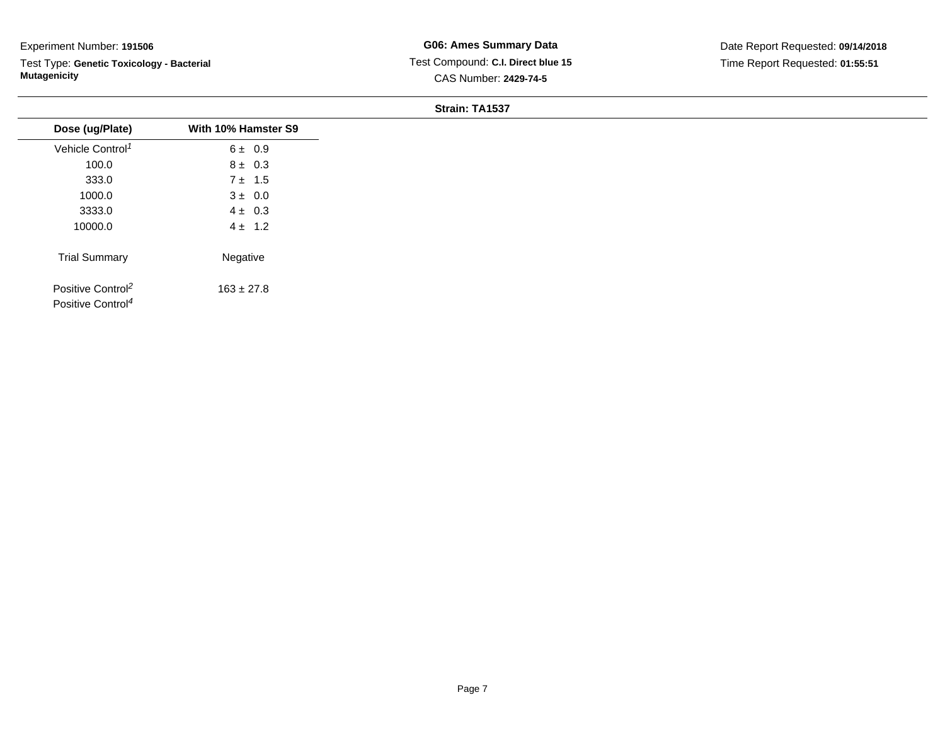Test Type: **Genetic Toxicology - Bacterial Mutagenicity**

**G06: Ames Summary Data** Test Compound: **C.I. Direct blue 15**CAS Number: **2429-74-5**

| Dose (ug/Plate)                                                | With 10% Hamster S9 |
|----------------------------------------------------------------|---------------------|
| Vehicle Control <sup>1</sup>                                   | 6 ± 0.9             |
| 100.0                                                          | $8 \pm 0.3$         |
| 333.0                                                          | $7 \pm 1.5$         |
| 1000.0                                                         | $3 \pm 0.0$         |
| 3333.0                                                         | $4 \pm 0.3$         |
| 10000.0                                                        | $4 \pm 1.2$         |
| <b>Trial Summary</b>                                           | Negative            |
| Positive Control <sup>2</sup><br>Positive Control <sup>4</sup> | $163 \pm 27.8$      |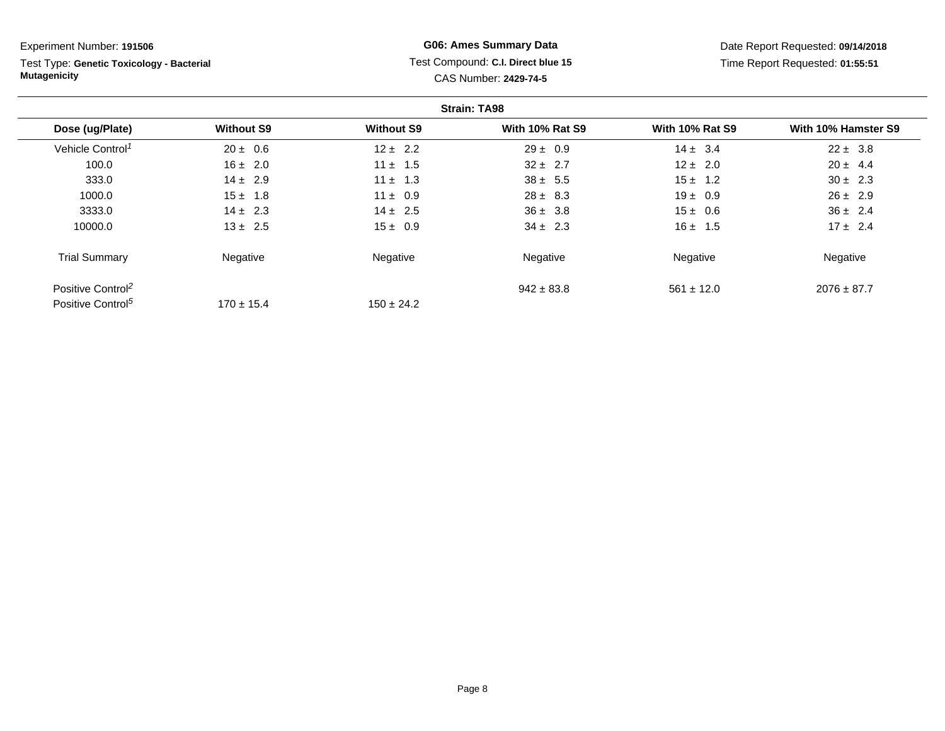Test Type: **Genetic Toxicology - Bacterial Mutagenicity**

## **G06: Ames Summary Data** Test Compound: **C.I. Direct blue 15**CAS Number: **2429-74-5**

|                               |                   |                   | <b>Strain: TA98</b>    |                        |                     |
|-------------------------------|-------------------|-------------------|------------------------|------------------------|---------------------|
| Dose (ug/Plate)               | <b>Without S9</b> | <b>Without S9</b> | <b>With 10% Rat S9</b> | <b>With 10% Rat S9</b> | With 10% Hamster S9 |
| Vehicle Control <sup>1</sup>  | $20 \pm 0.6$      | $12 \pm 2.2$      | $29 \pm 0.9$           | $14 \pm 3.4$           | $22 \pm 3.8$        |
| 100.0                         | $16 \pm 2.0$      | $11 \pm 1.5$      | $32 \pm 2.7$           | $12 \pm 2.0$           | $20 \pm 4.4$        |
| 333.0                         | $14 \pm 2.9$      | $11 \pm 1.3$      | $38 \pm 5.5$           | $15 \pm 1.2$           | $30 \pm 2.3$        |
| 1000.0                        | $15 \pm 1.8$      | $11 \pm 0.9$      | $28 \pm 8.3$           | $19 \pm 0.9$           | $26 \pm 2.9$        |
| 3333.0                        | $14 \pm 2.3$      | $14 \pm 2.5$      | $36 \pm 3.8$           | $15 \pm 0.6$           | $36 \pm 2.4$        |
| 10000.0                       | $13 \pm 2.5$      | $15 \pm 0.9$      | $34 \pm 2.3$           | $16 \pm 1.5$           | $17 \pm 2.4$        |
| <b>Trial Summary</b>          | Negative          | Negative          | Negative               | Negative               | Negative            |
| Positive Control <sup>2</sup> |                   |                   | $942 \pm 83.8$         | $561 \pm 12.0$         | $2076 \pm 87.7$     |
| Positive Control <sup>5</sup> | $170 \pm 15.4$    | $150 \pm 24.2$    |                        |                        |                     |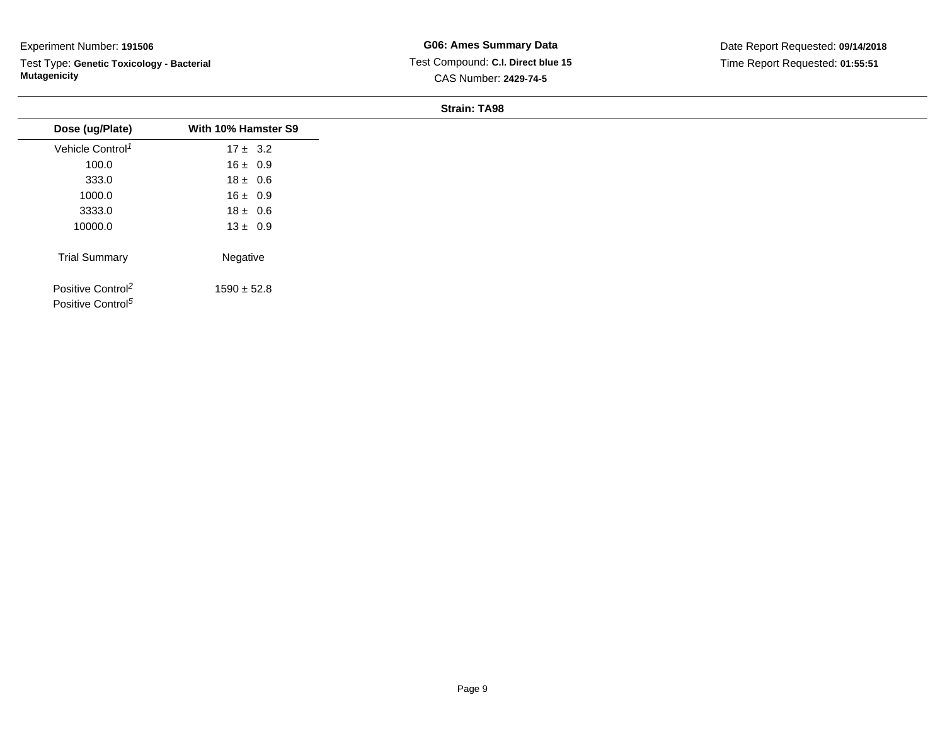Test Type: **Genetic Toxicology - Bacterial Mutagenicity**

**G06: Ames Summary Data** Test Compound: **C.I. Direct blue 15**CAS Number: **2429-74-5**

| Dose (ug/Plate)               | With 10% Hamster S9 |
|-------------------------------|---------------------|
| Vehicle Control <sup>1</sup>  | $17 \pm 3.2$        |
| 100.0                         | $16 \pm 0.9$        |
| 333.0                         | $18 \pm 0.6$        |
| 1000.0                        | $16 \pm 0.9$        |
| 3333.0                        | $18 \pm 0.6$        |
| 10000.0                       | $13 \pm 0.9$        |
| <b>Trial Summary</b>          | Negative            |
| Positive Control <sup>2</sup> | $1590 \pm 52.8$     |
| Positive Control <sup>5</sup> |                     |